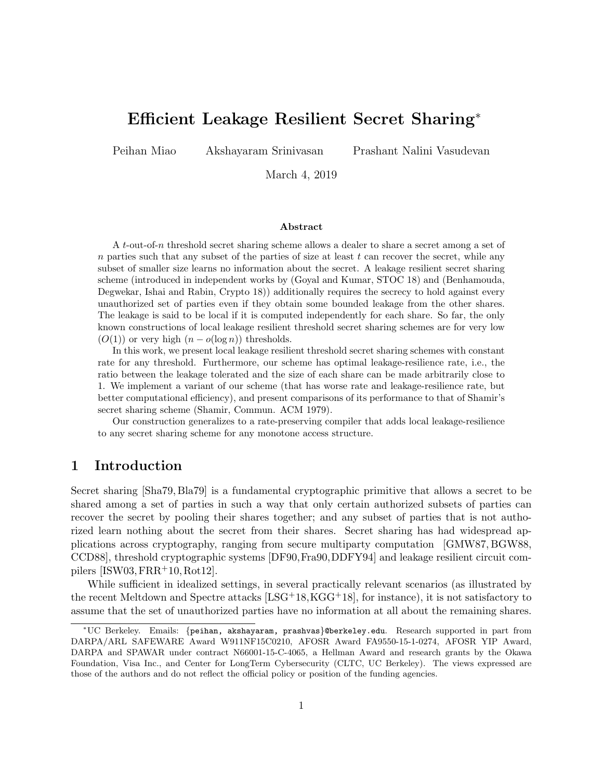# Efficient Leakage Resilient Secret Sharing<sup>∗</sup>

Peihan Miao Akshayaram Srinivasan Prashant Nalini Vasudevan

March 4, 2019

#### Abstract

A t-out-of-n threshold secret sharing scheme allows a dealer to share a secret among a set of  $n$  parties such that any subset of the parties of size at least  $t$  can recover the secret, while any subset of smaller size learns no information about the secret. A leakage resilient secret sharing scheme (introduced in independent works by (Goyal and Kumar, STOC 18) and (Benhamouda, Degwekar, Ishai and Rabin, Crypto 18)) additionally requires the secrecy to hold against every unauthorized set of parties even if they obtain some bounded leakage from the other shares. The leakage is said to be local if it is computed independently for each share. So far, the only known constructions of local leakage resilient threshold secret sharing schemes are for very low  $(O(1))$  or very high  $(n - o(\log n))$  thresholds.

In this work, we present local leakage resilient threshold secret sharing schemes with constant rate for any threshold. Furthermore, our scheme has optimal leakage-resilience rate, i.e., the ratio between the leakage tolerated and the size of each share can be made arbitrarily close to 1. We implement a variant of our scheme (that has worse rate and leakage-resilience rate, but better computational efficiency), and present comparisons of its performance to that of Shamir's secret sharing scheme (Shamir, Commun. ACM 1979).

Our construction generalizes to a rate-preserving compiler that adds local leakage-resilience to any secret sharing scheme for any monotone access structure.

# 1 Introduction

Secret sharing [\[Sha79,](#page-14-0) [Bla79\]](#page-12-0) is a fundamental cryptographic primitive that allows a secret to be shared among a set of parties in such a way that only certain authorized subsets of parties can recover the secret by pooling their shares together; and any subset of parties that is not authorized learn nothing about the secret from their shares. Secret sharing has had widespread applications across cryptography, ranging from secure multiparty computation [\[GMW87,](#page-14-1) [BGW88,](#page-12-1) [CCD88\]](#page-13-0), threshold cryptographic systems [\[DF90,](#page-13-1)[Fra90,](#page-13-2)[DDFY94\]](#page-13-3) and leakage resilient circuit compilers  $[ISW03, FRR+10, Rot12]$  $[ISW03, FRR+10, Rot12]$  $[ISW03, FRR+10, Rot12]$  $[ISW03, FRR+10, Rot12]$  $[ISW03, FRR+10, Rot12]$ .

While sufficient in idealized settings, in several practically relevant scenarios (as illustrated by the recent Meltdown and Spectre attacks [\[LSG](#page-14-4)+18[,KGG](#page-14-5)+18], for instance), it is not satisfactory to assume that the set of unauthorized parties have no information at all about the remaining shares.

<sup>∗</sup>UC Berkeley. Emails: {peihan, akshayaram, prashvas}@berkeley.edu. Research supported in part from DARPA/ARL SAFEWARE Award W911NF15C0210, AFOSR Award FA9550-15-1-0274, AFOSR YIP Award, DARPA and SPAWAR under contract N66001-15-C-4065, a Hellman Award and research grants by the Okawa Foundation, Visa Inc., and Center for LongTerm Cybersecurity (CLTC, UC Berkeley). The views expressed are those of the authors and do not reflect the official policy or position of the funding agencies.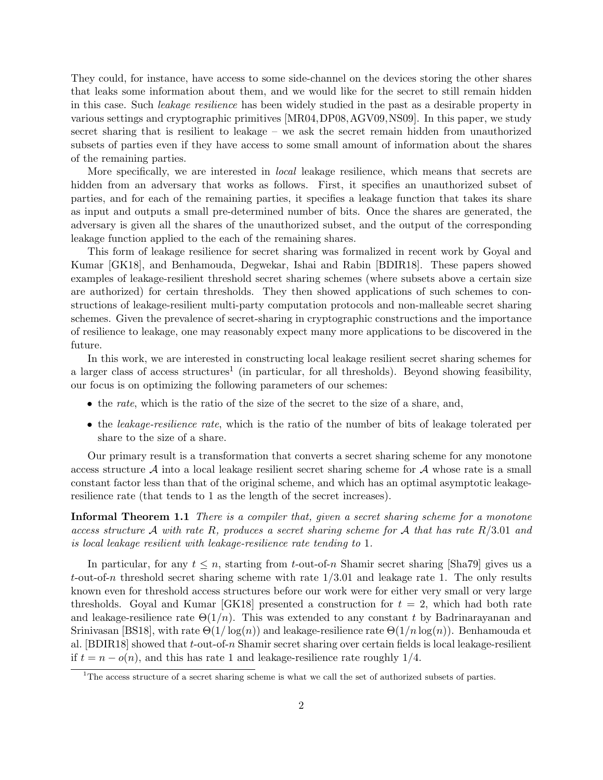They could, for instance, have access to some side-channel on the devices storing the other shares that leaks some information about them, and we would like for the secret to still remain hidden in this case. Such leakage resilience has been widely studied in the past as a desirable property in various settings and cryptographic primitives [\[MR04,](#page-14-6)[DP08,](#page-13-5)[AGV09,](#page-12-2)[NS09\]](#page-14-7). In this paper, we study secret sharing that is resilient to leakage – we ask the secret remain hidden from unauthorized subsets of parties even if they have access to some small amount of information about the shares of the remaining parties.

More specifically, we are interested in *local* leakage resilience, which means that secrets are hidden from an adversary that works as follows. First, it specifies an unauthorized subset of parties, and for each of the remaining parties, it specifies a leakage function that takes its share as input and outputs a small pre-determined number of bits. Once the shares are generated, the adversary is given all the shares of the unauthorized subset, and the output of the corresponding leakage function applied to the each of the remaining shares.

This form of leakage resilience for secret sharing was formalized in recent work by Goyal and Kumar [\[GK18\]](#page-14-8), and Benhamouda, Degwekar, Ishai and Rabin [\[BDIR18\]](#page-12-3). These papers showed examples of leakage-resilient threshold secret sharing schemes (where subsets above a certain size are authorized) for certain thresholds. They then showed applications of such schemes to constructions of leakage-resilient multi-party computation protocols and non-malleable secret sharing schemes. Given the prevalence of secret-sharing in cryptographic constructions and the importance of resilience to leakage, one may reasonably expect many more applications to be discovered in the future.

In this work, we are interested in constructing local leakage resilient secret sharing schemes for a larger class of access structures<sup>[1](#page-1-0)</sup> (in particular, for all thresholds). Beyond showing feasibility, our focus is on optimizing the following parameters of our schemes:

- the rate, which is the ratio of the size of the secret to the size of a share, and,
- the *leakage-resilience rate*, which is the ratio of the number of bits of leakage tolerated per share to the size of a share.

Our primary result is a transformation that converts a secret sharing scheme for any monotone access structure  $A$  into a local leakage resilient secret sharing scheme for  $A$  whose rate is a small constant factor less than that of the original scheme, and which has an optimal asymptotic leakageresilience rate (that tends to 1 as the length of the secret increases).

Informal Theorem 1.1 There is a compiler that, given a secret sharing scheme for a monotone access structure A with rate R, produces a secret sharing scheme for A that has rate  $R/3.01$  and is local leakage resilient with leakage-resilience rate tending to 1.

In particular, for any  $t \leq n$ , starting from t-out-of-n Shamir secret sharing [\[Sha79\]](#page-14-0) gives us a t-out-of-n threshold secret sharing scheme with rate  $1/3.01$  and leakage rate 1. The only results known even for threshold access structures before our work were for either very small or very large thresholds. Goyal and Kumar  $[GR18]$  presented a construction for  $t = 2$ , which had both rate and leakage-resilience rate  $\Theta(1/n)$ . This was extended to any constant t by Badrinarayanan and Srinivasan [\[BS18\]](#page-13-6), with rate  $\Theta(1/\log(n))$  and leakage-resilience rate  $\Theta(1/n \log(n))$ . Benhamouda et al. [\[BDIR18\]](#page-12-3) showed that t-out-of-n Shamir secret sharing over certain fields is local leakage-resilient if  $t = n - o(n)$ , and this has rate 1 and leakage-resilience rate roughly 1/4.

<span id="page-1-0"></span> $1$ <sup>1</sup>The access structure of a secret sharing scheme is what we call the set of authorized subsets of parties.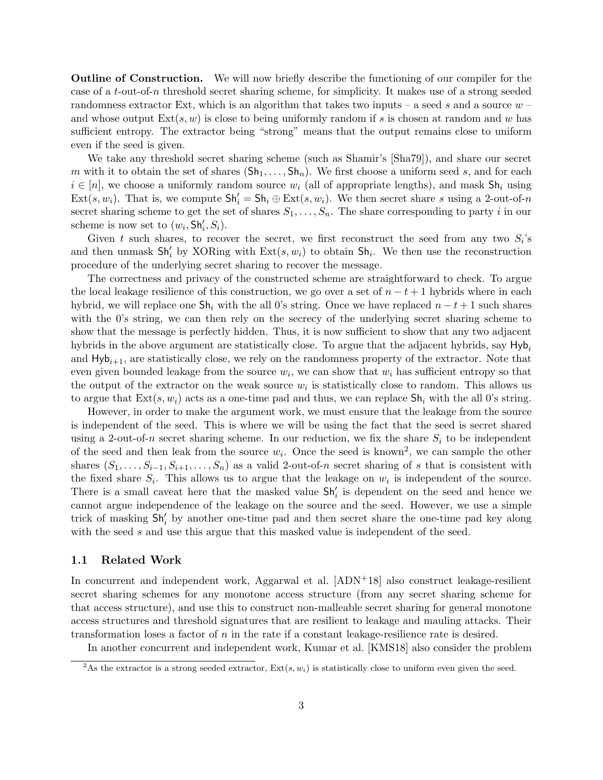**Outline of Construction.** We will now briefly describe the functioning of our compiler for the case of a t-out-of-n threshold secret sharing scheme, for simplicity. It makes use of a strong seeded randomness extractor Ext, which is an algorithm that takes two inputs – a seed s and a source  $w$  – and whose output  $Ext(s, w)$  is close to being uniformly random if s is chosen at random and w has sufficient entropy. The extractor being "strong" means that the output remains close to uniform even if the seed is given.

We take any threshold secret sharing scheme (such as Shamir's [\[Sha79\]](#page-14-0)), and share our secret m with it to obtain the set of shares  $(Sh_1, \ldots, Sh_n)$ . We first choose a uniform seed s, and for each  $i \in [n]$ , we choose a uniformly random source  $w_i$  (all of appropriate lengths), and mask  $Sh_i$  using  $\text{Ext}(s, w_i)$ . That is, we compute  $\text{Sh}'_i = \text{Sh}_i \oplus \text{Ext}(s, w_i)$ . We then secret share s using a 2-out-of-n secret sharing scheme to get the set of shares  $S_1, \ldots, S_n$ . The share corresponding to party i in our scheme is now set to  $(w_i, Sh'_i, S_i)$ .

Given t such shares, to recover the secret, we first reconstruct the seed from any two  $S_i$ 's and then unmask  $\mathsf{Sh}'_i$  by XORing with  $\text{Ext}(s, w_i)$  to obtain  $\mathsf{Sh}_i$ . We then use the reconstruction procedure of the underlying secret sharing to recover the message.

The correctness and privacy of the constructed scheme are straightforward to check. To argue the local leakage resilience of this construction, we go over a set of  $n - t + 1$  hybrids where in each hybrid, we will replace one  $\mathsf{Sh}_i$  with the all 0's string. Once we have replaced  $n-t+1$  such shares with the 0's string, we can then rely on the secrecy of the underlying secret sharing scheme to show that the message is perfectly hidden. Thus, it is now sufficient to show that any two adjacent hybrids in the above argument are statistically close. To argue that the adjacent hybrids, say  $\mathsf{Hyb}_i$ and  $Hy_{i+1}$ , are statistically close, we rely on the randomness property of the extractor. Note that even given bounded leakage from the source  $w_i$ , we can show that  $w_i$  has sufficient entropy so that the output of the extractor on the weak source  $w_i$  is statistically close to random. This allows us to argue that  $Ext(s, w_i)$  acts as a one-time pad and thus, we can replace  $\mathsf{Sh}_i$  with the all 0's string.

However, in order to make the argument work, we must ensure that the leakage from the source is independent of the seed. This is where we will be using the fact that the seed is secret shared using a 2-out-of-n secret sharing scheme. In our reduction, we fix the share  $S_i$  to be independent of the seed and then leak from the source  $w_i$ . Once the seed is known<sup>[2](#page-2-0)</sup>, we can sample the other shares  $(S_1, \ldots, S_{i-1}, S_{i+1}, \ldots, S_n)$  as a valid 2-out-of-n secret sharing of s that is consistent with the fixed share  $S_i$ . This allows us to argue that the leakage on  $w_i$  is independent of the source. There is a small caveat here that the masked value  $\mathsf{Sh}'_i$  is dependent on the seed and hence we cannot argue independence of the leakage on the source and the seed. However, we use a simple trick of masking  $\mathsf{Sh}'_i$  by another one-time pad and then secret share the one-time pad key along with the seed  $s$  and use this argue that this masked value is independent of the seed.

#### 1.1 Related Work

In concurrent and independent work, Aggarwal et al.  $[ADN+18]$  $[ADN+18]$  also construct leakage-resilient secret sharing schemes for any monotone access structure (from any secret sharing scheme for that access structure), and use this to construct non-malleable secret sharing for general monotone access structures and threshold signatures that are resilient to leakage and mauling attacks. Their transformation loses a factor of  $n$  in the rate if a constant leakage-resilience rate is desired.

In another concurrent and independent work, Kumar et al. [\[KMS18\]](#page-14-9) also consider the problem

<span id="page-2-0"></span><sup>&</sup>lt;sup>2</sup>As the extractor is a strong seeded extractor,  $Ext(s, w_i)$  is statistically close to uniform even given the seed.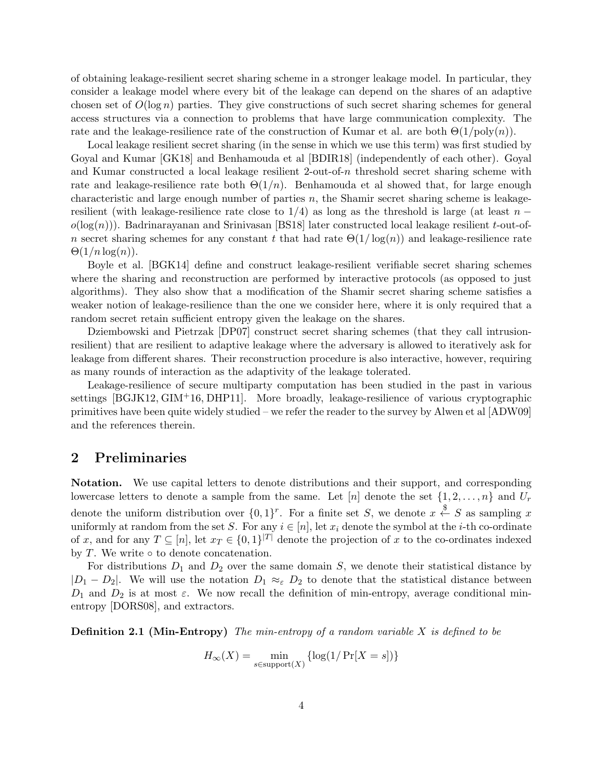of obtaining leakage-resilient secret sharing scheme in a stronger leakage model. In particular, they consider a leakage model where every bit of the leakage can depend on the shares of an adaptive chosen set of  $O(\log n)$  parties. They give constructions of such secret sharing schemes for general access structures via a connection to problems that have large communication complexity. The rate and the leakage-resilience rate of the construction of Kumar et al. are both  $\Theta(1/\text{poly}(n))$ .

Local leakage resilient secret sharing (in the sense in which we use this term) was first studied by Goyal and Kumar [\[GK18\]](#page-14-8) and Benhamouda et al [\[BDIR18\]](#page-12-3) (independently of each other). Goyal and Kumar constructed a local leakage resilient 2-out-of- $n$  threshold secret sharing scheme with rate and leakage-resilience rate both  $\Theta(1/n)$ . Benhamouda et al showed that, for large enough characteristic and large enough number of parties  $n$ , the Shamir secret sharing scheme is leakageresilient (with leakage-resilience rate close to  $1/4$ ) as long as the threshold is large (at least n −  $o(log(n))$ . Badrinarayanan and Srinivasan [\[BS18\]](#page-13-6) later constructed local leakage resilient t-out-ofn secret sharing schemes for any constant t that had rate  $\Theta(1/\log(n))$  and leakage-resilience rate  $\Theta(1/n \log(n)).$ 

Boyle et al. [\[BGK14\]](#page-12-4) define and construct leakage-resilient verifiable secret sharing schemes where the sharing and reconstruction are performed by interactive protocols (as opposed to just algorithms). They also show that a modification of the Shamir secret sharing scheme satisfies a weaker notion of leakage-resilience than the one we consider here, where it is only required that a random secret retain sufficient entropy given the leakage on the shares.

Dziembowski and Pietrzak [\[DP07\]](#page-13-7) construct secret sharing schemes (that they call intrusionresilient) that are resilient to adaptive leakage where the adversary is allowed to iteratively ask for leakage from different shares. Their reconstruction procedure is also interactive, however, requiring as many rounds of interaction as the adaptivity of the leakage tolerated.

Leakage-resilience of secure multiparty computation has been studied in the past in various settings [\[BGJK12,](#page-12-5) [GIM](#page-13-8)+16, [DHP11\]](#page-13-9). More broadly, leakage-resilience of various cryptographic primitives have been quite widely studied – we refer the reader to the survey by Alwen et al [\[ADW09\]](#page-11-1) and the references therein.

## 2 Preliminaries

Notation. We use capital letters to denote distributions and their support, and corresponding lowercase letters to denote a sample from the same. Let  $[n]$  denote the set  $\{1, 2, \ldots, n\}$  and  $U_r$ denote the uniform distribution over  $\{0,1\}^r$ . For a finite set S, we denote  $x \stackrel{\$}{\leftarrow} S$  as sampling x uniformly at random from the set S. For any  $i \in [n]$ , let  $x_i$  denote the symbol at the *i*-th co-ordinate of x, and for any  $T \subseteq [n]$ , let  $x_T \in \{0,1\}^{|T|}$  denote the projection of x to the co-ordinates indexed by  $T$ . We write  $\circ$  to denote concatenation.

For distributions  $D_1$  and  $D_2$  over the same domain S, we denote their statistical distance by  $|D_1 - D_2|$ . We will use the notation  $D_1 \approx_{\varepsilon} D_2$  to denote that the statistical distance between  $D_1$  and  $D_2$  is at most  $\varepsilon$ . We now recall the definition of min-entropy, average conditional minentropy [\[DORS08\]](#page-13-10), and extractors.

**Definition 2.1 (Min-Entropy)** The min-entropy of a random variable  $X$  is defined to be

$$
H_{\infty}(X) = \min_{s \in \text{support}(X)} \{ \log(1/\Pr[X = s]) \}
$$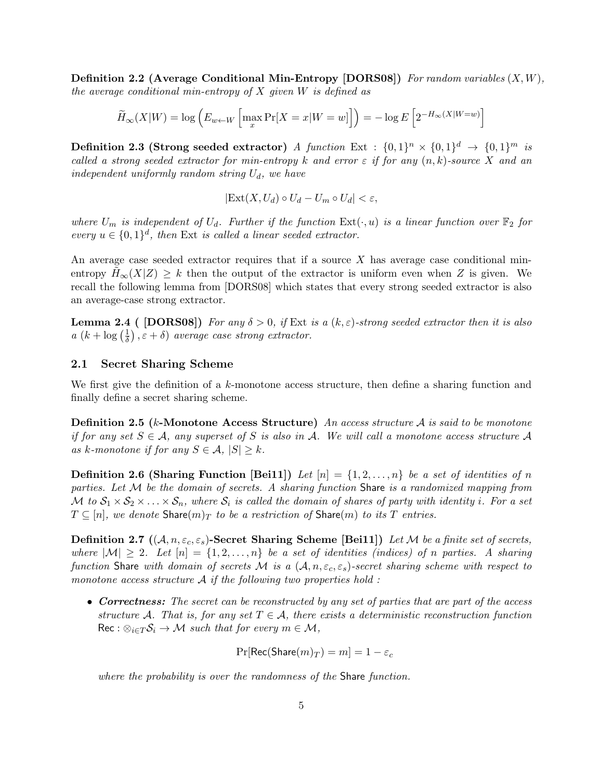**Definition 2.2 (Average Conditional Min-Entropy [\[DORS08\]](#page-13-10))** For random variables  $(X, W)$ , the average conditional min-entropy of  $X$  given  $W$  is defined as

$$
\widetilde{H}_{\infty}(X|W) = \log \left( E_{w \leftarrow W} \left[ \max_{x} \Pr[X=x|W=w] \right] \right) = -\log E \left[ 2^{-H_{\infty}(X|W=w)} \right]
$$

Definition 2.3 (Strong seeded extractor) A function Ext :  $\{0,1\}^n \times \{0,1\}^d \rightarrow \{0,1\}^m$  is called a strong seeded extractor for min-entropy k and error  $\varepsilon$  if for any  $(n, k)$ -source X and an independent uniformly random string  $U_d$ , we have

<span id="page-4-1"></span>
$$
|\text{Ext}(X, U_d) \circ U_d - U_m \circ U_d| < \varepsilon,
$$

where  $U_m$  is independent of  $U_d$ . Further if the function  $Ext(\cdot, u)$  is a linear function over  $\mathbb{F}_2$  for every  $u \in \{0,1\}^d$ , then Ext is called a linear seeded extractor.

An average case seeded extractor requires that if a source  $X$  has average case conditional minentropy  $H_{\infty}(X|Z) \geq k$  then the output of the extractor is uniform even when Z is given. We recall the following lemma from [\[DORS08\]](#page-13-10) which states that every strong seeded extractor is also an average-case strong extractor.

**Lemma 2.4** ( [\[DORS08\]](#page-13-10)) For any  $\delta > 0$ , if Ext is a  $(k, \varepsilon)$ -strong seeded extractor then it is also  $a(k+\log(\frac{1}{\delta}))$  $(\frac{1}{\delta})$ ,  $\varepsilon + \delta$ ) average case strong extractor.

### 2.1 Secret Sharing Scheme

We first give the definition of a k-monotone access structure, then define a sharing function and finally define a secret sharing scheme.

<span id="page-4-0"></span>**Definition 2.5** (k-Monotone Access Structure) An access structure A is said to be monotone if for any set  $S \in \mathcal{A}$ , any superset of S is also in A. We will call a monotone access structure A as k-monotone if for any  $S \in \mathcal{A}, |S| \geq k$ .

**Definition 2.6 (Sharing Function [\[Bei11\]](#page-12-6))** Let  $[n] = \{1, 2, ..., n\}$  be a set of identities of n parties. Let  $M$  be the domain of secrets. A sharing function Share is a randomized mapping from M to  $S_1 \times S_2 \times \ldots \times S_n$ , where  $S_i$  is called the domain of shares of party with identity i. For a set  $T \subseteq [n]$ , we denote Share $(m)_T$  to be a restriction of Share $(m)$  to its T entries.

**Definition 2.7**  $((A, n, \varepsilon_c, \varepsilon_s)$ -Secret Sharing Scheme [\[Bei11\]](#page-12-6)) Let M be a finite set of secrets, where  $|M| \geq 2$ . Let  $[n] = \{1, 2, ..., n\}$  be a set of identities (indices) of n parties. A sharing function Share with domain of secrets M is a  $(A, n, \varepsilon_c, \varepsilon_s)$ -secret sharing scheme with respect to monotone access structure  $A$  if the following two properties hold :

• Correctness: The secret can be reconstructed by any set of parties that are part of the access structure A. That is, for any set  $T \in \mathcal{A}$ , there exists a deterministic reconstruction function  $\text{Rec}: \otimes_{i \in T} S_i \to M \text{ such that for every } m \in M$ ,

$$
\Pr[\mathsf{Rec}(\mathsf{Share}(m)_T) = m] = 1 - \varepsilon_c
$$

where the probability is over the randomness of the Share function.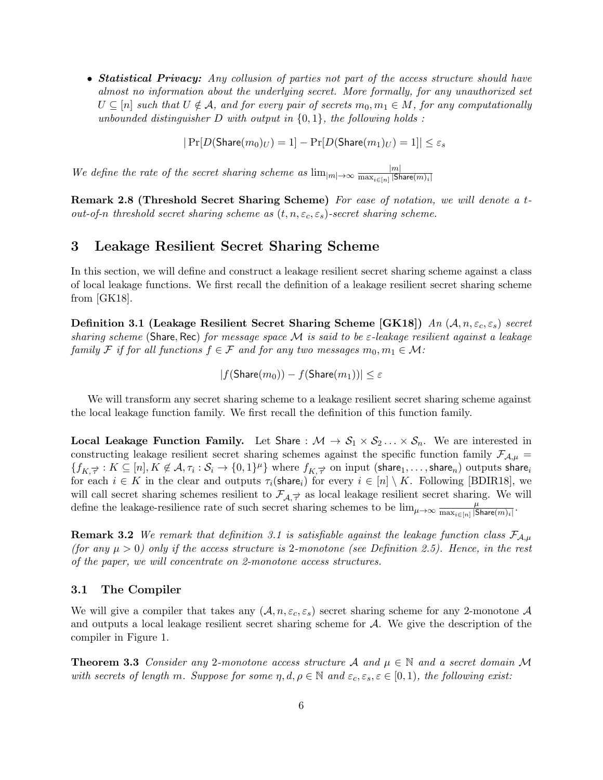• Statistical Privacy: Any collusion of parties not part of the access structure should have almost no information about the underlying secret. More formally, for any unauthorized set  $U \subseteq [n]$  such that  $U \notin \mathcal{A}$ , and for every pair of secrets  $m_0, m_1 \in M$ , for any computationally unbounded distinguisher  $D$  with output in  $\{0, 1\}$ , the following holds :

$$
|\Pr[D(\text{Share}(m_0)_U) = 1] - \Pr[D(\text{Share}(m_1)_U) = 1]| \le \varepsilon_s
$$

We define the rate of the secret sharing scheme as  $\lim_{|m|\to\infty} \frac{|m|}{\max_{i\in[n]} |S_i|}$  $\overline{\max_{i \in [n]} |\mathsf{Share}(m)_i|}$ 

Remark 2.8 (Threshold Secret Sharing Scheme) For ease of notation, we will denote a tout-of-n threshold secret sharing scheme as  $(t, n, \varepsilon_c, \varepsilon_s)$ -secret sharing scheme.

## 3 Leakage Resilient Secret Sharing Scheme

In this section, we will define and construct a leakage resilient secret sharing scheme against a class of local leakage functions. We first recall the definition of a leakage resilient secret sharing scheme from [\[GK18\]](#page-14-8).

<span id="page-5-0"></span>Definition 3.1 (Leakage Resilient Secret Sharing Scheme [\[GK18\]](#page-14-8)) An  $(A, n, \varepsilon_c, \varepsilon_s)$  secret sharing scheme (Share, Rec) for message space M is said to be  $\varepsilon$ -leakage resilient against a leakage family F if for all functions  $f \in \mathcal{F}$  and for any two messages  $m_0, m_1 \in \mathcal{M}$ :

 $|f(\text{Share}(m_0)) - f(\text{Share}(m_1))| < \varepsilon$ 

We will transform any secret sharing scheme to a leakage resilient secret sharing scheme against the local leakage function family. We first recall the definition of this function family.

**Local Leakage Function Family.** Let Share :  $M \to S_1 \times S_2 \dots \times S_n$ . We are interested in constructing leakage resilient secret sharing schemes against the specific function family  $\mathcal{F}_{A,\mu}$  =  ${f_{K,\vec{\tau}}: K \subseteq [n], K \not\in \mathcal{A}, \tau_i: \mathcal{S}_i \to \{0,1\}^{\mu} \}$  where  $f_{K,\vec{\tau}}$  on input (share<sub>1</sub>,..., share<sub>n</sub>) outputs share<sub>i</sub> for each  $i \in K$  in the clear and outputs  $\tau_i(\text{share}_i)$  for every  $i \in [n] \setminus K$ . Following [\[BDIR18\]](#page-12-3), we will call secret sharing schemes resilient to  $\mathcal{F}_{\mathcal{A}, \vec{\tau}}$  as local leakage resilient secret sharing. We will define the leakage-resilience rate of such secret sharing schemes to be  $\lim_{\mu\to\infty} \frac{\mu}{\max_{i\in[1]} |S_i|}$  $\frac{\mu}{\max_{i\in[n]}|\mathsf{Share}(m)_i|}.$ 

**Remark 3.2** We remark that definition [3.1](#page-5-0) is satisfiable against the leakage function class  $\mathcal{F}_{A,\mu}$ (for any  $\mu > 0$ ) only if the access structure is 2-monotone (see Definition [2.5\)](#page-4-0). Hence, in the rest of the paper, we will concentrate on 2-monotone access structures.

### 3.1 The Compiler

We will give a compiler that takes any  $(A, n, \varepsilon_c, \varepsilon_s)$  secret sharing scheme for any 2-monotone A and outputs a local leakage resilient secret sharing scheme for  $A$ . We give the description of the compiler in Figure [1.](#page-6-0)

<span id="page-5-1"></span>**Theorem 3.3** Consider any 2-monotone access structure A and  $\mu \in \mathbb{N}$  and a secret domain M with secrets of length m. Suppose for some  $\eta, d, \rho \in \mathbb{N}$  and  $\varepsilon_c, \varepsilon_s, \varepsilon \in [0,1)$ , the following exist: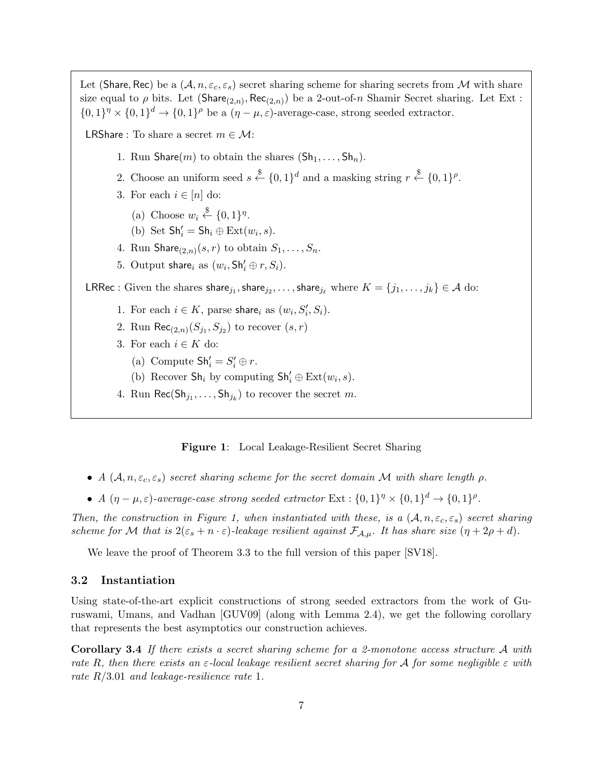Let (Share, Rec) be a  $(A, n, \varepsilon_c, \varepsilon_s)$  secret sharing scheme for sharing secrets from M with share size equal to  $\rho$  bits. Let  $(\textsf{Share}_{(2,n)}, \textsf{Rec}_{(2,n)})$  be a 2-out-of-n Shamir Secret sharing. Let Ext:  $\{0,1\}^{\eta} \times \{0,1\}^d \to \{0,1\}^{\rho}$  be a  $(\eta - \mu, \varepsilon)$ -average-case, strong seeded extractor. LRShare : To share a secret  $m \in \mathcal{M}$ : 1. Run Share(m) to obtain the shares  $(Sh_1, \ldots, Sh_n)$ . 2. Choose an uniform seed  $s \stackrel{\$}{\leftarrow} \{0,1\}^d$  and a masking string  $r \stackrel{\$}{\leftarrow} \{0,1\}^{\rho}$ . 3. For each  $i \in [n]$  do: (a) Choose  $w_i \overset{\$}{\leftarrow} \{0,1\}^{\eta}$ . (b) Set  $\mathsf{Sh}_i'=\mathsf{Sh}_i \oplus \mathrm{Ext}(w_i,s).$ 4. Run  $\textsf{Share}_{(2,n)}(s,r)$  to obtain  $S_1,\ldots,S_n.$ 5. Output share<sub>i</sub> as  $(w_i, Sh'_i \oplus r, S_i)$ . LRRec : Given the shares share<sub>j1</sub>, share<sub>j2</sub>, . . . , share<sub>je</sub> where  $K = \{j_1, \ldots, j_k\} \in A$  do: 1. For each  $i \in K$ , parse share<sub>i</sub> as  $(w_i, S'_i, S_i)$ . 2. Run  $\mathsf{Rec}_{(2,n)}(S_{j_1},S_{j_2})$  to recover  $(s,r)$ 3. For each  $i \in K$  do: (a) Compute  $\mathsf{Sh}_i' = S_i' \oplus r$ . (b) Recover  $\mathsf{Sh}_i$  by computing  $\mathsf{Sh}'_i \oplus \mathrm{Ext}(w_i,s)$ . 4. Run  $\mathsf{Rec}(\mathsf{Sh}_{j_1}, \ldots, \mathsf{Sh}_{j_k})$  to recover the secret  $m$ .

#### <span id="page-6-0"></span>Figure 1: Local Leakage-Resilient Secret Sharing

- A  $(A, n, \varepsilon_c, \varepsilon_s)$  secret sharing scheme for the secret domain M with share length  $\rho$ .
- A  $(\eta \mu, \varepsilon)$ -average-case strong seeded extractor Ext :  $\{0,1\}^{\eta} \times \{0,1\}^d \rightarrow \{0,1\}^{\rho}$ .

Then, the construction in Figure [1,](#page-6-0) when instantiated with these, is a  $(A, n, \varepsilon_c, \varepsilon_s)$  secret sharing scheme for M that is  $2(\varepsilon_s + n \cdot \varepsilon)$ -leakage resilient against  $\mathcal{F}_{\mathcal{A},\mu}$ . It has share size  $(\eta + 2\rho + d)$ .

We leave the proof of Theorem [3.3](#page-5-1) to the full version of this paper [\[SV18\]](#page-14-10).

### 3.2 Instantiation

Using state-of-the-art explicit constructions of strong seeded extractors from the work of Guruswami, Umans, and Vadhan [\[GUV09\]](#page-14-11) (along with Lemma [2.4\)](#page-4-1), we get the following corollary that represents the best asymptotics our construction achieves.

Corollary 3.4 If there exists a secret sharing scheme for a 2-monotone access structure A with rate R, then there exists an  $\varepsilon$ -local leakage resilient secret sharing for A for some negligible  $\varepsilon$  with rate  $R/3.01$  and leakage-resilience rate 1.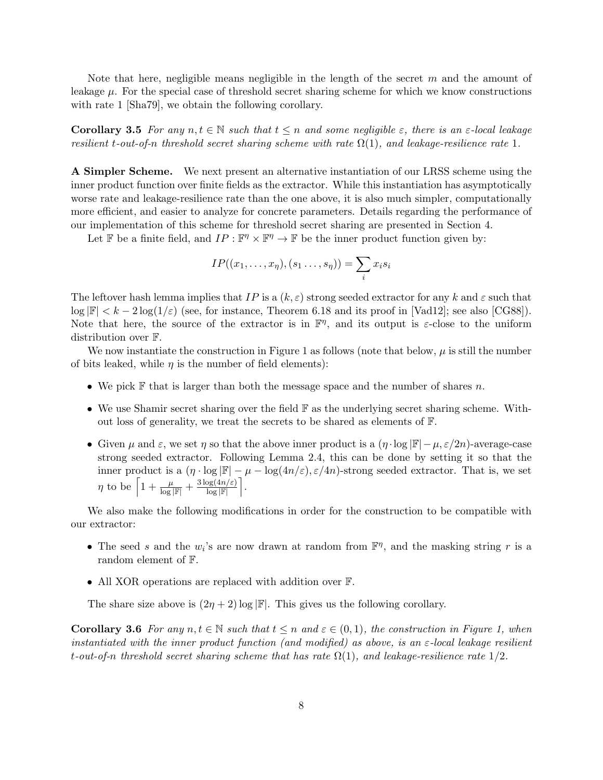Note that here, negligible means negligible in the length of the secret  $m$  and the amount of leakage  $\mu$ . For the special case of threshold secret sharing scheme for which we know constructions with rate 1 [\[Sha79\]](#page-14-0), we obtain the following corollary.

**Corollary 3.5** For any  $n, t \in \mathbb{N}$  such that  $t \leq n$  and some negligible  $\varepsilon$ , there is an  $\varepsilon$ -local leakage resilient t-out-of-n threshold secret sharing scheme with rate  $\Omega(1)$ , and leakage-resilience rate 1.

A Simpler Scheme. We next present an alternative instantiation of our LRSS scheme using the inner product function over finite fields as the extractor. While this instantiation has asymptotically worse rate and leakage-resilience rate than the one above, it is also much simpler, computationally more efficient, and easier to analyze for concrete parameters. Details regarding the performance of our implementation of this scheme for threshold secret sharing are presented in Section [4.](#page-8-0)

Let  $\mathbb F$  be a finite field, and  $IP : \mathbb F^n \times \mathbb F^n \to \mathbb F$  be the inner product function given by:

$$
IP((x_1,\ldots,x_\eta),(s_1\ldots,s_\eta))=\sum_ix_is_i
$$

The leftover hash lemma implies that IP is a  $(k, \varepsilon)$  strong seeded extractor for any k and  $\varepsilon$  such that  $\log |\mathbb{F}| < k - 2 \log(1/\varepsilon)$  (see, for instance, Theorem 6.18 and its proof in [\[Vad12\]](#page-14-12); see also [\[CG88\]](#page-13-11)). Note that here, the source of the extractor is in  $\mathbb{F}^{\eta}$ , and its output is  $\varepsilon$ -close to the uniform distribution over F.

We now instantiate the construction in Figure [1](#page-6-0) as follows (note that below,  $\mu$  is still the number of bits leaked, while  $\eta$  is the number of field elements):

- We pick  $\mathbb F$  that is larger than both the message space and the number of shares n.
- We use Shamir secret sharing over the field F as the underlying secret sharing scheme. Without loss of generality, we treat the secrets to be shared as elements of F.
- Given  $\mu$  and  $\varepsilon$ , we set  $\eta$  so that the above inner product is a  $(\eta \cdot \log |\mathbb{F}| \mu, \varepsilon/2n)$ -average-case strong seeded extractor. Following Lemma [2.4,](#page-4-1) this can be done by setting it so that the inner product is a  $(\eta \cdot \log |\mathbb{F}| - \mu - \log(4n/\varepsilon), \varepsilon/4n)$ -strong seeded extractor. That is, we set  $\eta$  to be  $\left[1+\frac{\mu}{\log|\mathbb{F}|}+\frac{3\log(4n/\varepsilon)}{\log|\mathbb{F}|}\right]$ .

We also make the following modifications in order for the construction to be compatible with our extractor:

- The seed s and the  $w_i$ 's are now drawn at random from  $\mathbb{F}^{\eta}$ , and the masking string r is a random element of F.
- All XOR operations are replaced with addition over F.

The share size above is  $(2\eta + 2) \log |\mathbb{F}|$ . This gives us the following corollary.

**Corollary 3.6** For any  $n, t \in \mathbb{N}$  such that  $t \leq n$  and  $\varepsilon \in (0, 1)$ , the construction in Figure [1,](#page-6-0) when instantiated with the inner product function (and modified) as above, is an  $\varepsilon$ -local leakage resilient t-out-of-n threshold secret sharing scheme that has rate  $\Omega(1)$ , and leakage-resilience rate  $1/2$ .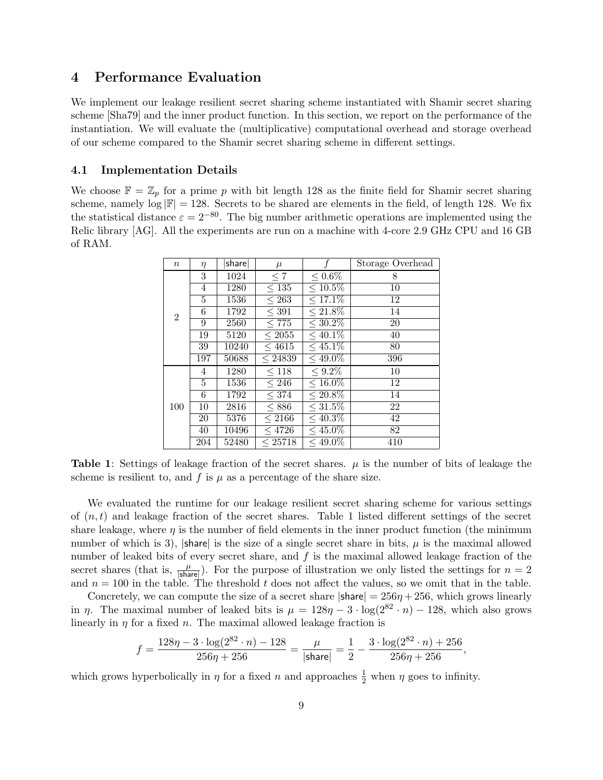# <span id="page-8-0"></span>4 Performance Evaluation

We implement our leakage resilient secret sharing scheme instantiated with Shamir secret sharing scheme [\[Sha79\]](#page-14-0) and the inner product function. In this section, we report on the performance of the instantiation. We will evaluate the (multiplicative) computational overhead and storage overhead of our scheme compared to the Shamir secret sharing scheme in different settings.

### <span id="page-8-2"></span>4.1 Implementation Details

We choose  $\mathbb{F} = \mathbb{Z}_p$  for a prime p with bit length 128 as the finite field for Shamir secret sharing scheme, namely  $\log |\mathbb{F}| = 128$ . Secrets to be shared are elements in the field, of length 128. We fix the statistical distance  $\varepsilon = 2^{-80}$ . The big number arithmetic operations are implemented using the Relic library [\[AG\]](#page-12-7). All the experiments are run on a machine with 4-core 2.9 GHz CPU and 16 GB of RAM.

| $\boldsymbol{n}$ | $\eta$    | share | $\mu$              | f             | Storage Overhead |
|------------------|-----------|-------|--------------------|---------------|------------------|
| $\overline{2}$   | 3         | 1024  | $\leq 7$           | ${}_{0.6\%}$  | 8                |
|                  | 4         | 1280  | $\leq 135$         | $\leq 10.5\%$ | 10               |
|                  | 5         | 1536  | $\leq 263$         | $\leq 17.1\%$ | 12               |
|                  | 6         | 1792  | $<$ 391            | $\leq 21.8\%$ | 14               |
|                  | 9         | 2560  | $\overline{< 775}$ | $\leq 30.2\%$ | 20               |
|                  | 19        | 5120  | $\overline{<}2055$ | $\leq 40.1\%$ | 40               |
|                  | 39        | 10240 | < 4615             | $< 45.1\%$    | 80               |
|                  | 197       | 50688 | $\leq 24839$       | $\leq 49.0\%$ | 396              |
|                  | 4         | 1280  | < 118              | $< 9.2\%$     | 10               |
|                  | 5         | 1536  | ${}_{246}$         | $\leq 16.0\%$ | 12               |
|                  | 6         | 1792  | < 374              | $\leq 20.8\%$ | 14               |
| 100              | 10        | 2816  | < 886              | $\leq 31.5\%$ | 22               |
|                  | <b>20</b> | 5376  | ${}_{\leq 2166}$   | ${}<$ 40.3\%  | 42               |
|                  | 40        | 10496 | < 4726             | $< 45.0\%$    | 82               |
|                  | 204       | 52480 | < 25718            | $<$ 49.0\%    | 410              |

<span id="page-8-1"></span>**Table 1:** Settings of leakage fraction of the secret shares.  $\mu$  is the number of bits of leakage the scheme is resilient to, and f is  $\mu$  as a percentage of the share size.

We evaluated the runtime for our leakage resilient secret sharing scheme for various settings of  $(n, t)$  and leakage fraction of the secret shares. Table [1](#page-8-1) listed different settings of the secret share leakage, where  $\eta$  is the number of field elements in the inner product function (the minimum number of which is 3),  $|\text{share}|$  is the size of a single secret share in bits,  $\mu$  is the maximal allowed number of leaked bits of every secret share, and  $f$  is the maximal allowed leakage fraction of the secret shares (that is,  $\frac{\mu}{|\text{share}|}$ ). For the purpose of illustration we only listed the settings for  $n = 2$ and  $n = 100$  in the table. The threshold t does not affect the values, so we omit that in the table.

Concretely, we can compute the size of a secret share  $|\text{share}| = 256\eta + 256$ , which grows linearly in  $\eta$ . The maximal number of leaked bits is  $\mu = 128\eta - 3 \cdot \log(2^{82} \cdot n) - 128$ , which also grows linearly in  $\eta$  for a fixed n. The maximal allowed leakage fraction is

$$
f = \frac{128\eta - 3 \cdot \log(2^{82} \cdot n) - 128}{256\eta + 256} = \frac{\mu}{|\text{share}|} = \frac{1}{2} - \frac{3 \cdot \log(2^{82} \cdot n) + 256}{256\eta + 256},
$$

which grows hyperbolically in  $\eta$  for a fixed n and approaches  $\frac{1}{2}$  when  $\eta$  goes to infinity.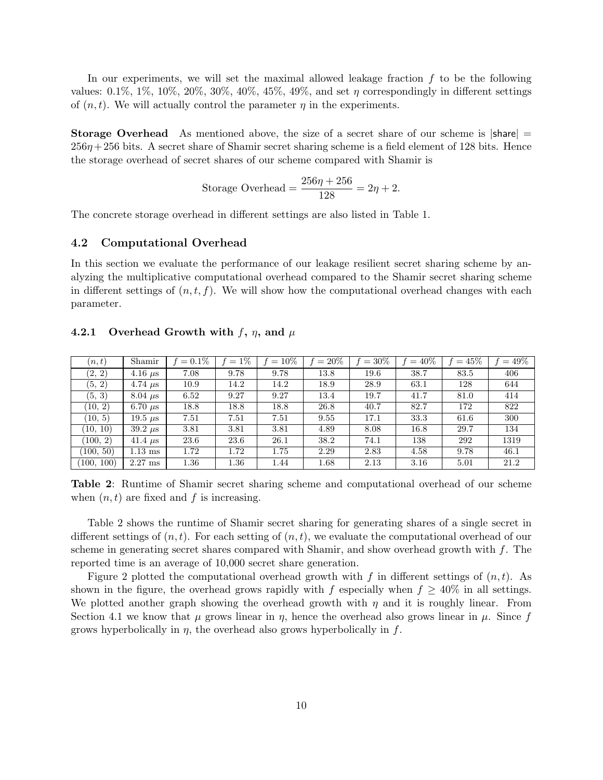In our experiments, we will set the maximal allowed leakage fraction  $f$  to be the following values:  $0.1\%$ ,  $1\%$ ,  $10\%$ ,  $20\%$ ,  $30\%$ ,  $40\%$ ,  $45\%$ ,  $49\%$ , and set  $\eta$  correspondingly in different settings of  $(n, t)$ . We will actually control the parameter  $\eta$  in the experiments.

**Storage Overhead** As mentioned above, the size of a secret share of our scheme is  $|\text{share}| =$  $256\eta + 256$  bits. A secret share of Shamir secret sharing scheme is a field element of 128 bits. Hence the storage overhead of secret shares of our scheme compared with Shamir is

Storage Overhead = 
$$
\frac{256\eta + 256}{128} = 2\eta + 2
$$
.

The concrete storage overhead in different settings are also listed in Table [1.](#page-8-1)

#### 4.2 Computational Overhead

In this section we evaluate the performance of our leakage resilient secret sharing scheme by analyzing the multiplicative computational overhead compared to the Shamir secret sharing scheme in different settings of  $(n, t, f)$ . We will show how the computational overhead changes with each parameter.

|  | 4.2.1 Overhead Growth with f, $\eta$ , and $\mu$ |  |  |  |  |  |  |
|--|--------------------------------------------------|--|--|--|--|--|--|
|--|--------------------------------------------------|--|--|--|--|--|--|

| (n,t)      | Shamir         | $= 0.1\%$ | $=1\%$ | $= 10\%$ | $= 20\%$ | $=30\%$ | $=40%$ | $=45%$ | $=49\%$ |
|------------|----------------|-----------|--------|----------|----------|---------|--------|--------|---------|
| (2, 2)     | 4.16 $\mu$ s   | 7.08      | 9.78   | 9.78     | 13.8     | 19.6    | 38.7   | 83.5   | 406     |
| (5, 2)     | 4.74 $\mu$ s   | 10.9      | 14.2   | 14.2     | 18.9     | 28.9    | 63.1   | 128    | 644     |
| (5, 3)     | $8.04 \ \mu s$ | 6.52      | 9.27   | 9.27     | 13.4     | 19.7    | 41.7   | 81.0   | 414     |
| (10, 2)    | 6.70 $\mu$ s   | 18.8      | 18.8   | 18.8     | 26.8     | 40.7    | 82.7   | 172    | 822     |
| (10, 5)    | 19.5 $\mu$ s   | 7.51      | 7.51   | 7.51     | 9.55     | 17.1    | 33.3   | 61.6   | 300     |
| (10, 10)   | $39.2 \ \mu s$ | 3.81      | 3.81   | 3.81     | 4.89     | 8.08    | 16.8   | 29.7   | 134     |
| (100, 2)   | 41.4 $\mu$ s   | 23.6      | 23.6   | 26.1     | 38.2     | 74.1    | 138    | 292    | 1319    |
| (100, 50)  | $1.13$ ms      | 1.72      | 1.72   | 1.75     | 2.29     | 2.83    | 4.58   | 9.78   | 46.1    |
| (100, 100) | $2.27$ ms      | 1.36      | 1.36   | 1.44     | 1.68     | 2.13    | 3.16   | 5.01   | 21.2    |

<span id="page-9-0"></span>Table 2: Runtime of Shamir secret sharing scheme and computational overhead of our scheme when  $(n, t)$  are fixed and f is increasing.

Table [2](#page-9-0) shows the runtime of Shamir secret sharing for generating shares of a single secret in different settings of  $(n, t)$ . For each setting of  $(n, t)$ , we evaluate the computational overhead of our scheme in generating secret shares compared with Shamir, and show overhead growth with f. The reported time is an average of 10,000 secret share generation.

Figure [2](#page-10-0) plotted the computational overhead growth with f in different settings of  $(n, t)$ . As shown in the figure, the overhead grows rapidly with f especially when  $f \geq 40\%$  in all settings. We plotted another graph showing the overhead growth with  $\eta$  and it is roughly linear. From Section [4.1](#page-8-2) we know that  $\mu$  grows linear in  $\eta$ , hence the overhead also grows linear in  $\mu$ . Since f grows hyperbolically in  $\eta$ , the overhead also grows hyperbolically in  $f$ .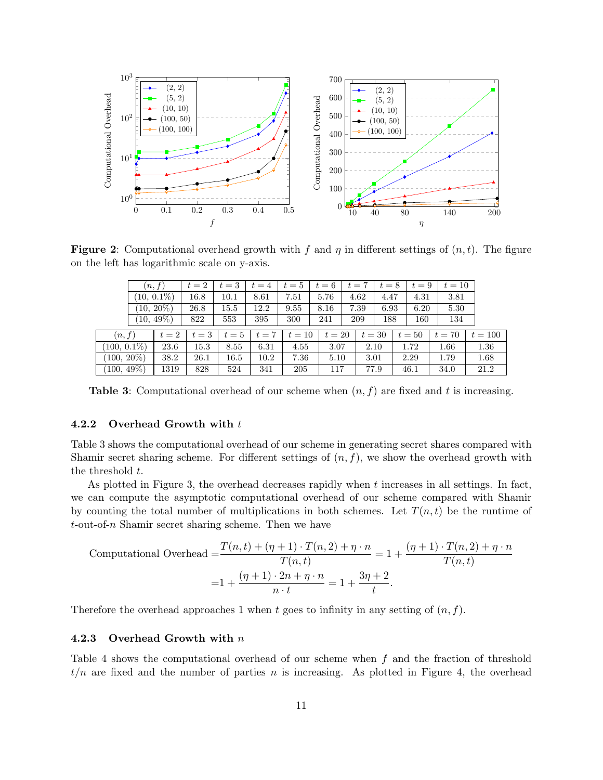

**Figure 2:** Computational overhead growth with f and  $\eta$  in different settings of  $(n, t)$ . The figure on the left has logarithmic scale on y-axis.

<span id="page-10-0"></span>

|                          | (n, f)        |       | $t=2$ | $t=3$ | $t=4$ | $t=5$  | $t=6$  | $t=7$        | $t=8$ |      | $t=9$  | $t=10$ |           |
|--------------------------|---------------|-------|-------|-------|-------|--------|--------|--------------|-------|------|--------|--------|-----------|
|                          | $(10, 0.1\%)$ |       | 16.8  | 10.1  | 8.61  | 7.51   | 5.76   | 4.62         | 4.47  |      | 4.31   | 3.81   |           |
|                          | $(10, 20\%)$  |       | 26.8  | 15.5  | 12.2  | 9.55   | 8.16   | 7.39<br>6.93 |       | 6.20 |        | 5.30   |           |
|                          | $(10, 49\%)$  |       | 822   | 553   | 395   | 300    | 241    | 209<br>188   |       |      | 160    | 134    |           |
| (n, f)                   |               | $t=2$ | $t=3$ | $t=5$ | $t=7$ | $t=10$ | $t=20$ | $t=30$       |       |      | $t=50$ | $t=70$ | $t = 100$ |
| $(100, 0.1\%)$           |               | 23.6  | 15.3  | 8.55  | 6.31  | 4.55   | 3.07   |              | 2.10  |      | 1.72   | 1.66   | 1.36      |
| $(100, 20\%)$            |               | 38.2  | 26.1  | 16.5  | 10.2  | 7.36   | 5.10   | 3.01         |       |      | 2.29   | 1.79   | 1.68      |
| $(100, 49\overline{\%)}$ |               | 1319  | 828   | 524   | 341   | 205    | 117    | 77.9         |       |      | 46.1   | 34.0   | 21.2      |

<span id="page-10-1"></span>**Table 3:** Computational overhead of our scheme when  $(n, f)$  are fixed and t is increasing.

#### 4.2.2 Overhead Growth with t

Table [3](#page-10-1) shows the computational overhead of our scheme in generating secret shares compared with Shamir secret sharing scheme. For different settings of  $(n, f)$ , we show the overhead growth with the threshold t.

As plotted in Figure [3,](#page-11-2) the overhead decreases rapidly when  $t$  increases in all settings. In fact, we can compute the asymptotic computational overhead of our scheme compared with Shamir by counting the total number of multiplications in both schemes. Let  $T(n, t)$  be the runtime of  $t$ -out-of- $n$  Shamir secret sharing scheme. Then we have

Computational Overhead 
$$
= \frac{T(n,t) + (\eta + 1) \cdot T(n,2) + \eta \cdot n}{T(n,t)} = 1 + \frac{(\eta + 1) \cdot T(n,2) + \eta \cdot n}{T(n,t)}
$$

$$
= 1 + \frac{(\eta + 1) \cdot 2n + \eta \cdot n}{n \cdot t} = 1 + \frac{3\eta + 2}{t}.
$$

Therefore the overhead approaches 1 when t goes to infinity in any setting of  $(n, f)$ .

#### 4.2.3 Overhead Growth with n

Table [4](#page-11-3) shows the computational overhead of our scheme when f and the fraction of threshold  $t/n$  are fixed and the number of parties n is increasing. As plotted in Figure [4,](#page-12-8) the overhead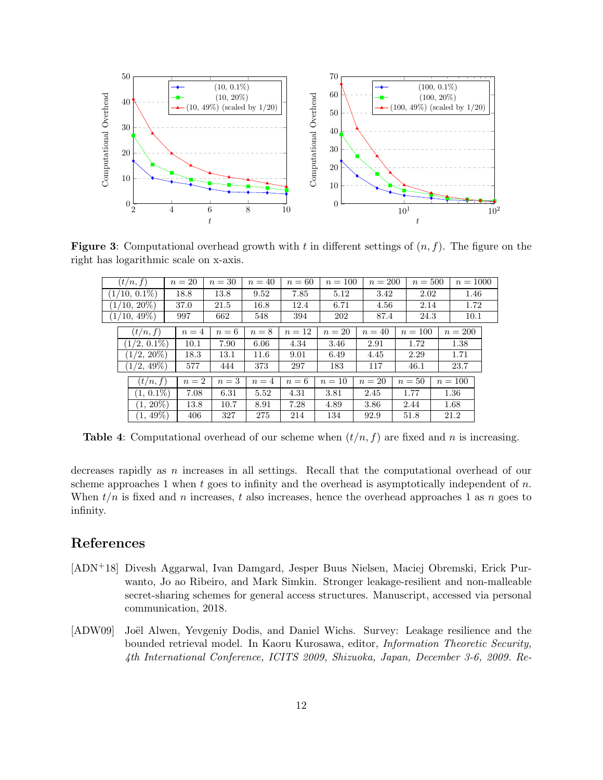

**Figure 3:** Computational overhead growth with t in different settings of  $(n, f)$ . The figure on the right has logarithmic scale on x-axis.

<span id="page-11-2"></span>

| (t/n, f)        |     | $n=20$ | $n=30$ | $n=40$ | $n=60$ | $n = 100$ | $n = 200$ |      | $n=500$   |      | $n = 1000$ |  |
|-----------------|-----|--------|--------|--------|--------|-----------|-----------|------|-----------|------|------------|--|
| $(1/10, 0.1\%)$ |     | 18.8   | 13.8   | 9.52   | 7.85   | 5.12      | 3.42      |      | 2.02      |      | 1.46       |  |
| $(1/10, 20\%)$  |     | 37.0   | 21.5   | 16.8   | 12.4   | 6.71      | 4.56      |      | 2.14      |      | 1.72       |  |
| $(1/10, 49\%)$  | 997 |        | 662    | 548    | 394    | 202       |           | 87.4 |           | 24.3 | 10.1       |  |
| (t/n, f)        |     | $n=4$  | $n=6$  | $n=8$  | $n=12$ | $n=20$    | $n=40$    |      | $n = 100$ |      | $n=200$    |  |
| $(1/2, 0.1\%)$  |     | 10.1   | 7.90   | 6.06   | 4.34   | 3.46      | 2.91      |      | 1.72      |      | 1.38       |  |
| $(1/2, 20\%)$   |     | 18.3   | 13.1   | 11.6   | 9.01   | 6.49      | 4.45      |      | 2.29      |      | 1.71       |  |
| $(1/2, 49\%)$   |     | 577    | 444    | 373    | 297    | 183       | 117       |      | 46.1      |      | 23.7       |  |
| (t/n, f)        |     | $n=2$  | $n=3$  | $n=4$  | $n=6$  | $n=10$    | $n=20$    |      | $n=50$    |      | $n = 100$  |  |
| $(1, 0.1\%)$    |     | 7.08   | 6.31   | 5.52   | 4.31   | 3.81      | 2.45      |      | 1.77      |      | 1.36       |  |
| $(1, 20\%)$     |     | 13.8   | 10.7   | 8.91   | 7.28   | 4.89      | 3.86      |      | 2.44      |      | 1.68       |  |
| $(1, 49\%)$     |     | 406    | 327    | 275    | 214    | 134       | 92.9      |      | 51.8      |      | 21.2       |  |

<span id="page-11-3"></span>**Table 4:** Computational overhead of our scheme when  $(t/n, f)$  are fixed and n is increasing.

decreases rapidly as n increases in all settings. Recall that the computational overhead of our scheme approaches 1 when t goes to infinity and the overhead is asymptotically independent of  $n$ . When  $t/n$  is fixed and n increases, t also increases, hence the overhead approaches 1 as n goes to infinity.

# References

- <span id="page-11-0"></span>[ADN+18] Divesh Aggarwal, Ivan Damgard, Jesper Buus Nielsen, Maciej Obremski, Erick Purwanto, Jo ao Ribeiro, and Mark Simkin. Stronger leakage-resilient and non-malleable secret-sharing schemes for general access structures. Manuscript, accessed via personal communication, 2018.
- <span id="page-11-1"></span>[ADW09] Joël Alwen, Yevgeniy Dodis, and Daniel Wichs. Survey: Leakage resilience and the bounded retrieval model. In Kaoru Kurosawa, editor, Information Theoretic Security, 4th International Conference, ICITS 2009, Shizuoka, Japan, December 3-6, 2009. Re-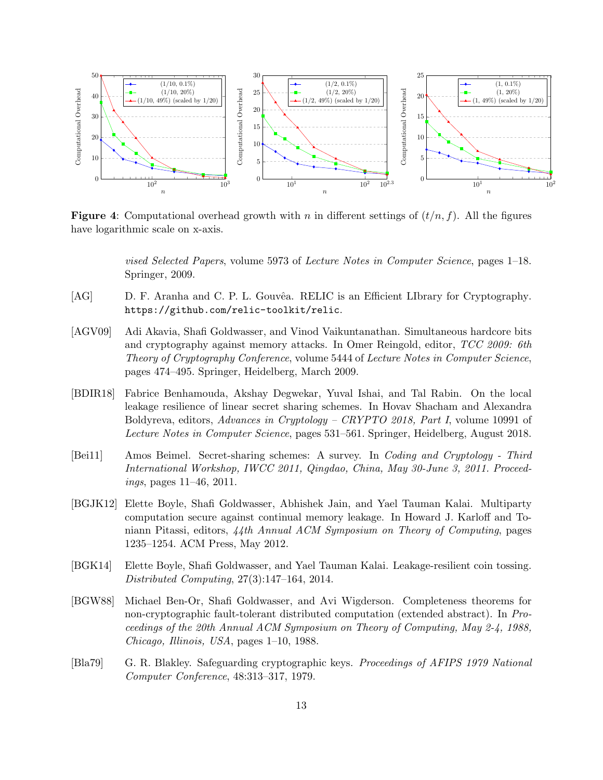

**Figure 4:** Computational overhead growth with n in different settings of  $(t/n, f)$ . All the figures have logarithmic scale on x-axis.

<span id="page-12-8"></span>vised Selected Papers, volume 5973 of Lecture Notes in Computer Science, pages 1–18. Springer, 2009.

- <span id="page-12-7"></span>[AG] D. F. Aranha and C. P. L. Gouvêa. RELIC is an Efficient LIbrary for Cryptography. <https://github.com/relic-toolkit/relic>.
- <span id="page-12-2"></span>[AGV09] Adi Akavia, Shafi Goldwasser, and Vinod Vaikuntanathan. Simultaneous hardcore bits and cryptography against memory attacks. In Omer Reingold, editor, TCC 2009: 6th Theory of Cryptography Conference, volume 5444 of Lecture Notes in Computer Science, pages 474–495. Springer, Heidelberg, March 2009.
- <span id="page-12-3"></span>[BDIR18] Fabrice Benhamouda, Akshay Degwekar, Yuval Ishai, and Tal Rabin. On the local leakage resilience of linear secret sharing schemes. In Hovav Shacham and Alexandra Boldyreva, editors, Advances in Cryptology – CRYPTO 2018, Part I, volume 10991 of Lecture Notes in Computer Science, pages 531–561. Springer, Heidelberg, August 2018.
- <span id="page-12-6"></span>[Bei11] Amos Beimel. Secret-sharing schemes: A survey. In Coding and Cryptology - Third International Workshop, IWCC 2011, Qingdao, China, May 30-June 3, 2011. Proceedings, pages 11–46, 2011.
- <span id="page-12-5"></span>[BGJK12] Elette Boyle, Shafi Goldwasser, Abhishek Jain, and Yael Tauman Kalai. Multiparty computation secure against continual memory leakage. In Howard J. Karloff and Toniann Pitassi, editors, 44th Annual ACM Symposium on Theory of Computing, pages 1235–1254. ACM Press, May 2012.
- <span id="page-12-4"></span>[BGK14] Elette Boyle, Shafi Goldwasser, and Yael Tauman Kalai. Leakage-resilient coin tossing. Distributed Computing, 27(3):147–164, 2014.
- <span id="page-12-1"></span>[BGW88] Michael Ben-Or, Shafi Goldwasser, and Avi Wigderson. Completeness theorems for non-cryptographic fault-tolerant distributed computation (extended abstract). In Proceedings of the 20th Annual ACM Symposium on Theory of Computing, May 2-4, 1988, Chicago, Illinois, USA, pages 1–10, 1988.
- <span id="page-12-0"></span>[Bla79] G. R. Blakley. Safeguarding cryptographic keys. Proceedings of AFIPS 1979 National Computer Conference, 48:313–317, 1979.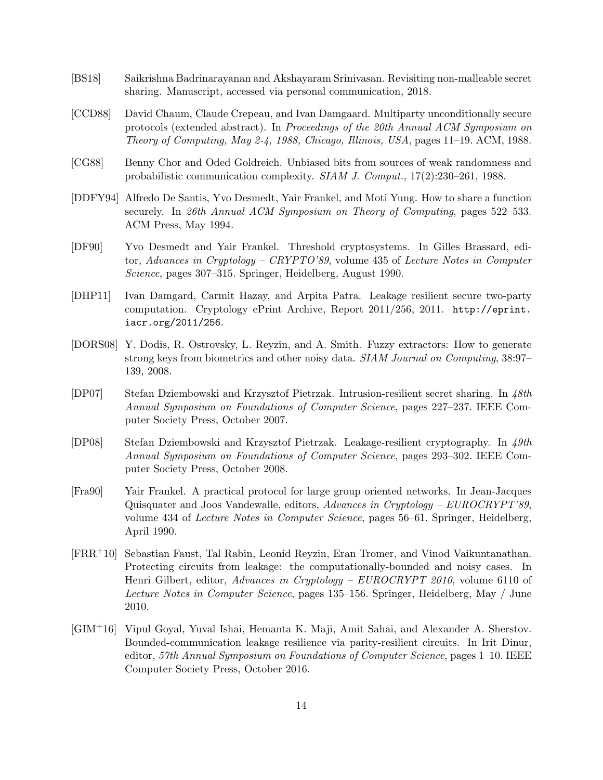- <span id="page-13-6"></span>[BS18] Saikrishna Badrinarayanan and Akshayaram Srinivasan. Revisiting non-malleable secret sharing. Manuscript, accessed via personal communication, 2018.
- <span id="page-13-0"></span>[CCD88] David Chaum, Claude Crepeau, and Ivan Damgaard. Multiparty unconditionally secure protocols (extended abstract). In Proceedings of the 20th Annual ACM Symposium on Theory of Computing, May 2-4, 1988, Chicago, Illinois, USA, pages 11–19. ACM, 1988.
- <span id="page-13-11"></span>[CG88] Benny Chor and Oded Goldreich. Unbiased bits from sources of weak randomness and probabilistic communication complexity. SIAM J. Comput., 17(2):230–261, 1988.
- <span id="page-13-3"></span>[DDFY94] Alfredo De Santis, Yvo Desmedt, Yair Frankel, and Moti Yung. How to share a function securely. In 26th Annual ACM Symposium on Theory of Computing, pages 522–533. ACM Press, May 1994.
- <span id="page-13-1"></span>[DF90] Yvo Desmedt and Yair Frankel. Threshold cryptosystems. In Gilles Brassard, editor, Advances in Cryptology – CRYPTO'89, volume 435 of Lecture Notes in Computer Science, pages 307–315. Springer, Heidelberg, August 1990.
- <span id="page-13-9"></span>[DHP11] Ivan Damgard, Carmit Hazay, and Arpita Patra. Leakage resilient secure two-party computation. Cryptology ePrint Archive, Report 2011/256, 2011. [http://eprint.](http://eprint.iacr.org/2011/256) [iacr.org/2011/256](http://eprint.iacr.org/2011/256).
- <span id="page-13-10"></span>[DORS08] Y. Dodis, R. Ostrovsky, L. Reyzin, and A. Smith. Fuzzy extractors: How to generate strong keys from biometrics and other noisy data. SIAM Journal on Computing, 38:97– 139, 2008.
- <span id="page-13-7"></span>[DP07] Stefan Dziembowski and Krzysztof Pietrzak. Intrusion-resilient secret sharing. In 48th Annual Symposium on Foundations of Computer Science, pages 227–237. IEEE Computer Society Press, October 2007.
- <span id="page-13-5"></span>[DP08] Stefan Dziembowski and Krzysztof Pietrzak. Leakage-resilient cryptography. In 49th Annual Symposium on Foundations of Computer Science, pages 293–302. IEEE Computer Society Press, October 2008.
- <span id="page-13-2"></span>[Fra90] Yair Frankel. A practical protocol for large group oriented networks. In Jean-Jacques Quisquater and Joos Vandewalle, editors, Advances in Cryptology – EUROCRYPT'89, volume 434 of Lecture Notes in Computer Science, pages 56–61. Springer, Heidelberg, April 1990.
- <span id="page-13-4"></span>[FRR+10] Sebastian Faust, Tal Rabin, Leonid Reyzin, Eran Tromer, and Vinod Vaikuntanathan. Protecting circuits from leakage: the computationally-bounded and noisy cases. In Henri Gilbert, editor, Advances in Cryptology – EUROCRYPT 2010, volume 6110 of Lecture Notes in Computer Science, pages 135–156. Springer, Heidelberg, May / June 2010.
- <span id="page-13-8"></span>[GIM+16] Vipul Goyal, Yuval Ishai, Hemanta K. Maji, Amit Sahai, and Alexander A. Sherstov. Bounded-communication leakage resilience via parity-resilient circuits. In Irit Dinur, editor, 57th Annual Symposium on Foundations of Computer Science, pages 1–10. IEEE Computer Society Press, October 2016.